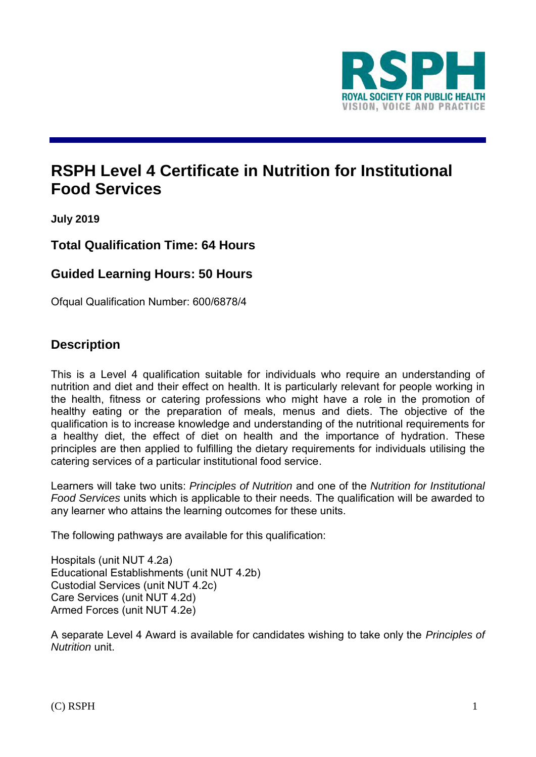

# **RSPH Level 4 Certificate in Nutrition for Institutional Food Services**

**July 2019**

## **Total Qualification Time: 64 Hours**

### **Guided Learning Hours: 50 Hours**

Ofqual Qualification Number: 600/6878/4

### **Description**

This is a Level 4 qualification suitable for individuals who require an understanding of nutrition and diet and their effect on health. It is particularly relevant for people working in the health, fitness or catering professions who might have a role in the promotion of healthy eating or the preparation of meals, menus and diets. The objective of the qualification is to increase knowledge and understanding of the nutritional requirements for a healthy diet, the effect of diet on health and the importance of hydration. These principles are then applied to fulfilling the dietary requirements for individuals utilising the catering services of a particular institutional food service.

Learners will take two units: *Principles of Nutrition* and one of the *Nutrition for Institutional Food Services* units which is applicable to their needs. The qualification will be awarded to any learner who attains the learning outcomes for these units.

The following pathways are available for this qualification:

Hospitals (unit NUT 4.2a) Educational Establishments (unit NUT 4.2b) Custodial Services (unit NUT 4.2c) Care Services (unit NUT 4.2d) Armed Forces (unit NUT 4.2e)

A separate Level 4 Award is available for candidates wishing to take only the *Principles of Nutrition* unit.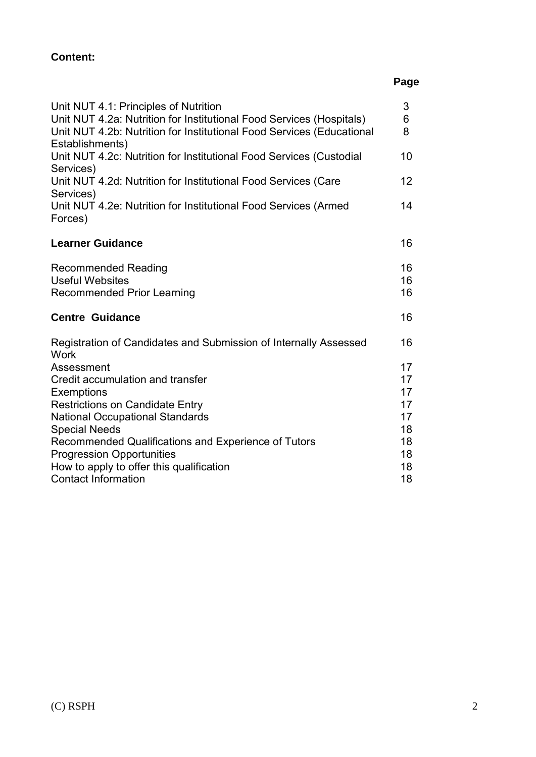## **Page**

| Unit NUT 4.1: Principles of Nutrition<br>Unit NUT 4.2a: Nutrition for Institutional Food Services (Hospitals)<br>Unit NUT 4.2b: Nutrition for Institutional Food Services (Educational | 3<br>6<br>8    |
|----------------------------------------------------------------------------------------------------------------------------------------------------------------------------------------|----------------|
| Establishments)<br>Unit NUT 4.2c: Nutrition for Institutional Food Services (Custodial<br>Services)                                                                                    | 10             |
| Unit NUT 4.2d: Nutrition for Institutional Food Services (Care<br>Services)                                                                                                            | 12             |
| Unit NUT 4.2e: Nutrition for Institutional Food Services (Armed<br>Forces)                                                                                                             | 14             |
| <b>Learner Guidance</b>                                                                                                                                                                | 16             |
| <b>Recommended Reading</b><br><b>Useful Websites</b><br><b>Recommended Prior Learning</b>                                                                                              | 16<br>16<br>16 |
| <b>Centre Guidance</b>                                                                                                                                                                 | 16             |
| Registration of Candidates and Submission of Internally Assessed<br><b>Work</b>                                                                                                        | 16             |
| Assessment                                                                                                                                                                             | 17             |
| Credit accumulation and transfer                                                                                                                                                       | 17             |
| <b>Exemptions</b>                                                                                                                                                                      | 17             |
| <b>Restrictions on Candidate Entry</b>                                                                                                                                                 | 17             |
| <b>National Occupational Standards</b><br><b>Special Needs</b>                                                                                                                         | 17<br>18       |
| Recommended Qualifications and Experience of Tutors                                                                                                                                    | 18             |
| <b>Progression Opportunities</b>                                                                                                                                                       | 18             |
| How to apply to offer this qualification                                                                                                                                               | 18             |
| <b>Contact Information</b>                                                                                                                                                             | 18             |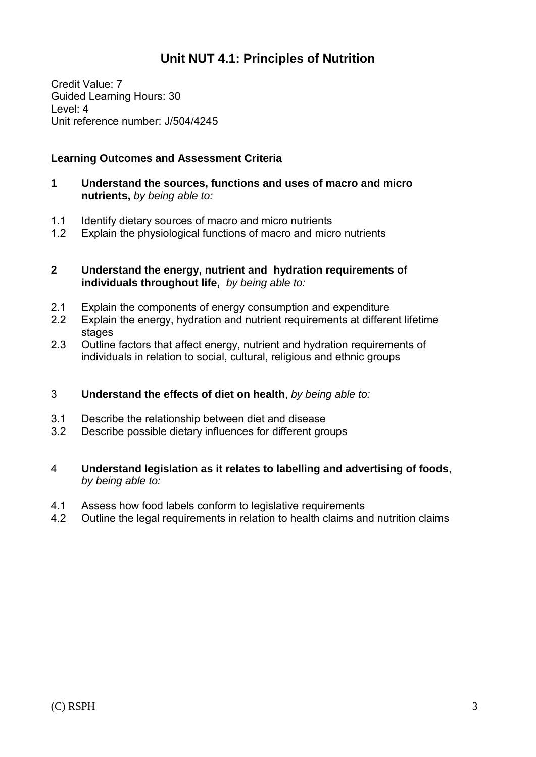# **Unit NUT 4.1: Principles of Nutrition**

Credit Value: 7 Guided Learning Hours: 30 Level: 4 Unit reference number: J/504/4245

#### **Learning Outcomes and Assessment Criteria**

- **1 Understand the sources, functions and uses of macro and micro nutrients,** *by being able to:*
- 1.1 Identify dietary sources of macro and micro nutrients
- 1.2 Explain the physiological functions of macro and micro nutrients

#### **2 Understand the energy, nutrient and hydration requirements of individuals throughout life,** *by being able to:*

- 2.1 Explain the components of energy consumption and expenditure
- 2.2 Explain the energy, hydration and nutrient requirements at different lifetime stages
- 2.3 Outline factors that affect energy, nutrient and hydration requirements of individuals in relation to social, cultural, religious and ethnic groups

#### 3 **Understand the effects of diet on health**, *by being able to:*

- 3.1 Describe the relationship between diet and disease
- 3.2 Describe possible dietary influences for different groups
- 4 **Understand legislation as it relates to labelling and advertising of foods**, *by being able to:*
- 4.1 Assess how food labels conform to legislative requirements
- 4.2 Outline the legal requirements in relation to health claims and nutrition claims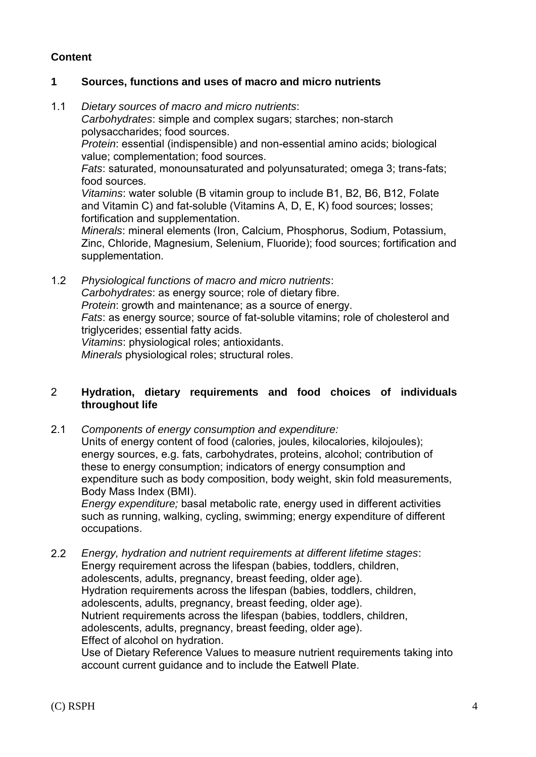#### **1 Sources, functions and uses of macro and micro nutrients**

- 1.1 *Dietary sources of macro and micro nutrients*: *Carbohydrates*: simple and complex sugars; starches; non-starch polysaccharides; food sources. *Protein*: essential (indispensible) and non-essential amino acids; biological value; complementation; food sources. *Fats*: saturated, monounsaturated and polyunsaturated; omega 3; trans-fats; food sources. *Vitamins*: water soluble (B vitamin group to include B1, B2, B6, B12, Folate and Vitamin C) and fat-soluble (Vitamins A, D, E, K) food sources; losses; fortification and supplementation. *Minerals*: mineral elements (Iron, Calcium, Phosphorus, Sodium, Potassium, Zinc, Chloride, Magnesium, Selenium, Fluoride); food sources; fortification and supplementation.
- 1.2 *Physiological functions of macro and micro nutrients*: *Carbohydrates*: as energy source; role of dietary fibre. *Protein*: growth and maintenance; as a source of energy. *Fats*: as energy source; source of fat-soluble vitamins; role of cholesterol and triglycerides; essential fatty acids. *Vitamins*: physiological roles; antioxidants. *Minerals* physiological roles; structural roles.

2 **Hydration, dietary requirements and food choices of individuals throughout life**

2.1 *Components of energy consumption and expenditure:* 

Units of energy content of food (calories, joules, kilocalories, kilojoules); energy sources, e.g. fats, carbohydrates, proteins, alcohol; contribution of these to energy consumption; indicators of energy consumption and expenditure such as body composition, body weight, skin fold measurements, Body Mass Index (BMI).

*Energy expenditure;* basal metabolic rate, energy used in different activities such as running, walking, cycling, swimming; energy expenditure of different occupations.

2.2 *Energy, hydration and nutrient requirements at different lifetime stages*: Energy requirement across the lifespan (babies, toddlers, children, adolescents, adults, pregnancy, breast feeding, older age). Hydration requirements across the lifespan (babies, toddlers, children, adolescents, adults, pregnancy, breast feeding, older age). Nutrient requirements across the lifespan (babies, toddlers, children, adolescents, adults, pregnancy, breast feeding, older age). Effect of alcohol on hydration. Use of Dietary Reference Values to measure nutrient requirements taking into account current guidance and to include the Eatwell Plate.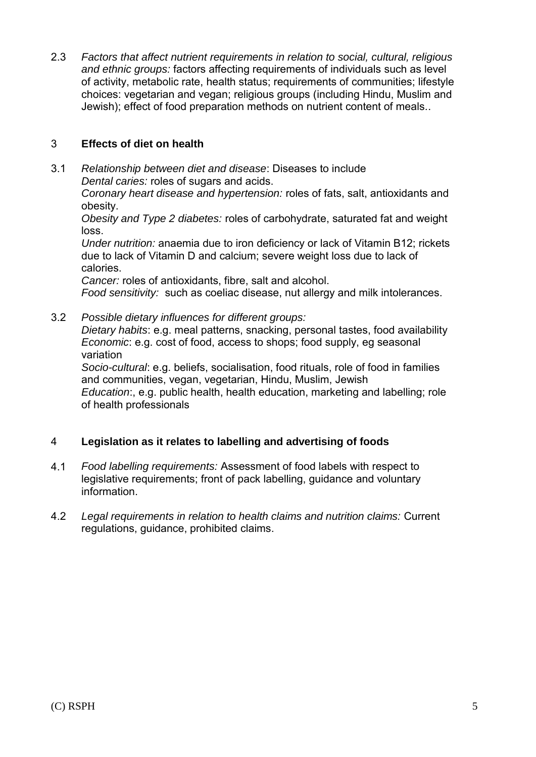2.3 *Factors that affect nutrient requirements in relation to social, cultural, religious and ethnic groups:* factors affecting requirements of individuals such as level of activity, metabolic rate, health status; requirements of communities; lifestyle choices: vegetarian and vegan; religious groups (including Hindu, Muslim and Jewish); effect of food preparation methods on nutrient content of meals..

#### 3 **Effects of diet on health**

3.1 *Relationship between diet and disease*: Diseases to include *Dental caries:* roles of sugars and acids.

*Coronary heart disease and hypertension:* roles of fats, salt, antioxidants and obesity.

*Obesity and Type 2 diabetes:* roles of carbohydrate, saturated fat and weight loss.

*Under nutrition:* anaemia due to iron deficiency or lack of Vitamin B12; rickets due to lack of Vitamin D and calcium; severe weight loss due to lack of calories.

*Cancer:* roles of antioxidants, fibre, salt and alcohol.

*Food sensitivity:* such as coeliac disease, nut allergy and milk intolerances.

3.2 *Possible dietary influences for different groups:* 

*Dietary habits*: e.g. meal patterns, snacking, personal tastes, food availability *Economic*: e.g. cost of food, access to shops; food supply, eg seasonal variation

*Socio-cultural*: e.g. beliefs, socialisation, food rituals, role of food in families and communities, vegan, vegetarian, Hindu, Muslim, Jewish *Education*:, e.g. public health, health education, marketing and labelling; role of health professionals

#### 4 **Legislation as it relates to labelling and advertising of foods**

- 4.1 *Food labelling requirements:* Assessment of food labels with respect to legislative requirements; front of pack labelling, guidance and voluntary information.
- 4.2 *Legal requirements in relation to health claims and nutrition claims:* Current regulations, guidance, prohibited claims.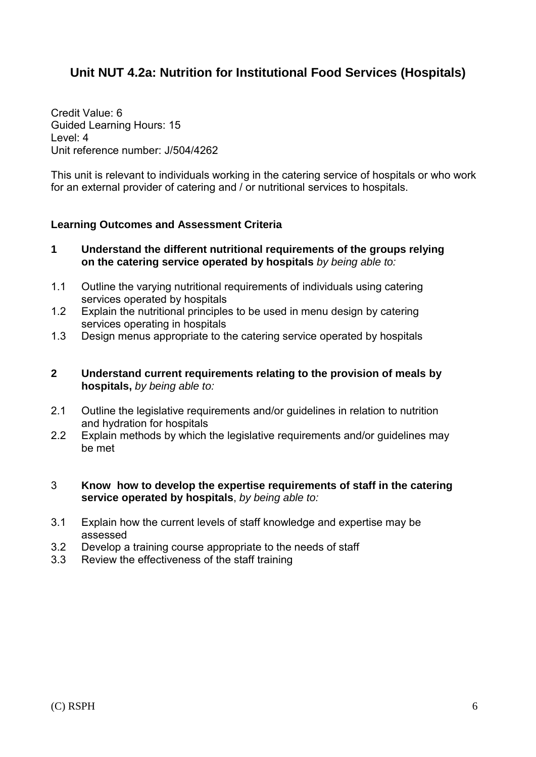# **Unit NUT 4.2a: Nutrition for Institutional Food Services (Hospitals)**

Credit Value: 6 Guided Learning Hours: 15 Level: 4 Unit reference number: J/504/4262

This unit is relevant to individuals working in the catering service of hospitals or who work for an external provider of catering and / or nutritional services to hospitals.

#### **Learning Outcomes and Assessment Criteria**

- **1 Understand the different nutritional requirements of the groups relying on the catering service operated by hospitals** *by being able to:*
- 1.1 Outline the varying nutritional requirements of individuals using catering services operated by hospitals
- 1.2 Explain the nutritional principles to be used in menu design by catering services operating in hospitals
- 1.3 Design menus appropriate to the catering service operated by hospitals

#### **2 Understand current requirements relating to the provision of meals by hospitals,** *by being able to:*

- 2.1 Outline the legislative requirements and/or guidelines in relation to nutrition and hydration for hospitals
- 2.2 Explain methods by which the legislative requirements and/or guidelines may be met

#### 3 **Know how to develop the expertise requirements of staff in the catering service operated by hospitals**, *by being able to:*

- 3.1 Explain how the current levels of staff knowledge and expertise may be assessed
- 3.2 Develop a training course appropriate to the needs of staff
- 3.3 Review the effectiveness of the staff training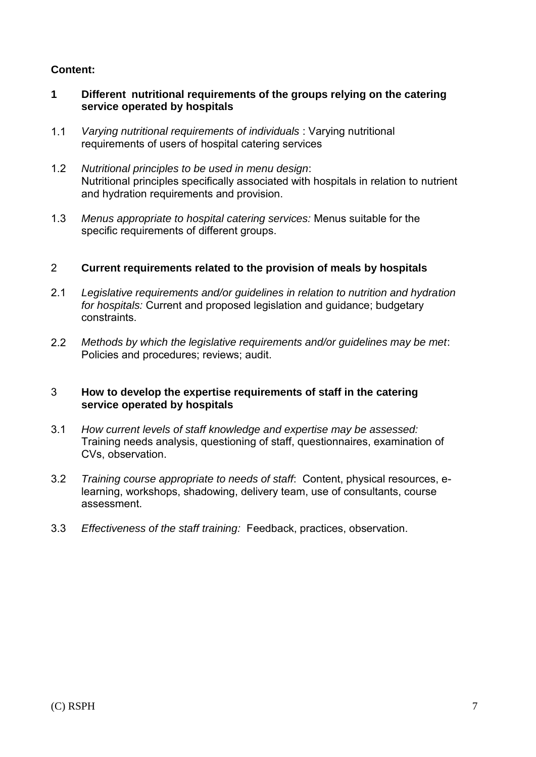- **1 Different nutritional requirements of the groups relying on the catering service operated by hospitals**
- 1.1 *Varying nutritional requirements of individuals* : Varying nutritional requirements of users of hospital catering services
- 1.2 *Nutritional principles to be used in menu design*: Nutritional principles specifically associated with hospitals in relation to nutrient and hydration requirements and provision.
- 1.3 *Menus appropriate to hospital catering services:* Menus suitable for the specific requirements of different groups.

#### 2 **Current requirements related to the provision of meals by hospitals**

- 2.1 *Legislative requirements and/or guidelines in relation to nutrition and hydration for hospitals:* Current and proposed legislation and guidance; budgetary constraints.
- 2.2 *Methods by which the legislative requirements and/or guidelines may be met*: Policies and procedures; reviews; audit.

#### 3 **How to develop the expertise requirements of staff in the catering service operated by hospitals**

- 3.1 *How current levels of staff knowledge and expertise may be assessed:*  Training needs analysis, questioning of staff, questionnaires, examination of CVs, observation.
- 3.2 *Training course appropriate to needs of staff*: Content, physical resources, elearning, workshops, shadowing, delivery team, use of consultants, course assessment.
- 3.3 *Effectiveness of the staff training:* Feedback, practices, observation.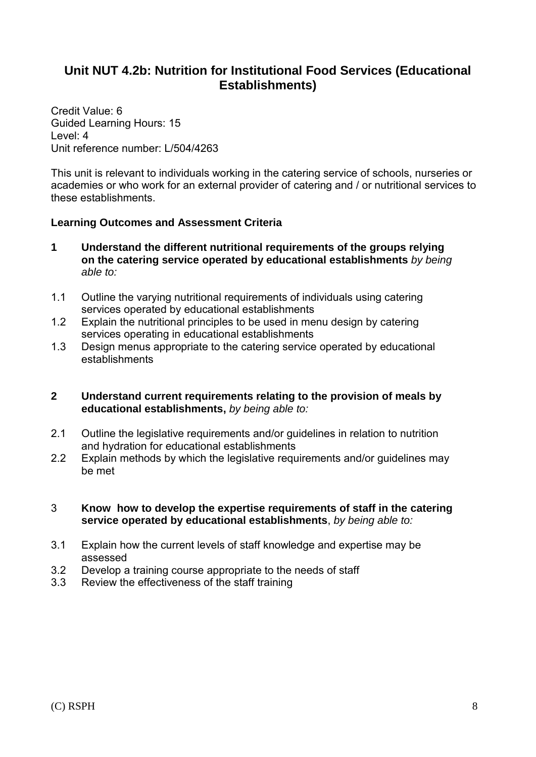## **Unit NUT 4.2b: Nutrition for Institutional Food Services (Educational Establishments)**

Credit Value: 6 Guided Learning Hours: 15 Level: 4 Unit reference number: L/504/4263

This unit is relevant to individuals working in the catering service of schools, nurseries or academies or who work for an external provider of catering and / or nutritional services to these establishments.

#### **Learning Outcomes and Assessment Criteria**

- **1 Understand the different nutritional requirements of the groups relying on the catering service operated by educational establishments** *by being able to:*
- 1.1 Outline the varying nutritional requirements of individuals using catering services operated by educational establishments
- 1.2 Explain the nutritional principles to be used in menu design by catering services operating in educational establishments
- 1.3 Design menus appropriate to the catering service operated by educational establishments

#### **2 Understand current requirements relating to the provision of meals by educational establishments,** *by being able to:*

- 2.1 Outline the legislative requirements and/or guidelines in relation to nutrition and hydration for educational establishments
- 2.2 Explain methods by which the legislative requirements and/or guidelines may be met

#### 3 **Know how to develop the expertise requirements of staff in the catering service operated by educational establishments**, *by being able to:*

- 3.1 Explain how the current levels of staff knowledge and expertise may be assessed
- 3.2 Develop a training course appropriate to the needs of staff
- 3.3 Review the effectiveness of the staff training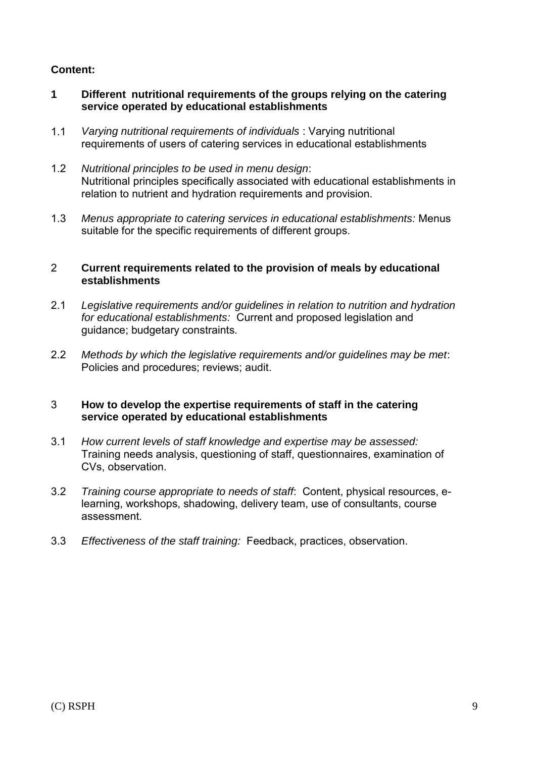- **1 Different nutritional requirements of the groups relying on the catering service operated by educational establishments**
- 1.1 *Varying nutritional requirements of individuals* : Varying nutritional requirements of users of catering services in educational establishments
- 1.2 *Nutritional principles to be used in menu design*: Nutritional principles specifically associated with educational establishments in relation to nutrient and hydration requirements and provision.
- 1.3 *Menus appropriate to catering services in educational establishments:* Menus suitable for the specific requirements of different groups.

#### 2 **Current requirements related to the provision of meals by educational establishments**

- 2.1 *Legislative requirements and/or guidelines in relation to nutrition and hydration for educational establishments:* Current and proposed legislation and guidance; budgetary constraints.
- 2.2 *Methods by which the legislative requirements and/or guidelines may be met*: Policies and procedures; reviews; audit.

#### 3 **How to develop the expertise requirements of staff in the catering service operated by educational establishments**

- 3.1 *How current levels of staff knowledge and expertise may be assessed:*  Training needs analysis, questioning of staff, questionnaires, examination of CVs, observation.
- 3.2 *Training course appropriate to needs of staff*: Content, physical resources, elearning, workshops, shadowing, delivery team, use of consultants, course assessment.
- 3.3 *Effectiveness of the staff training:* Feedback, practices, observation.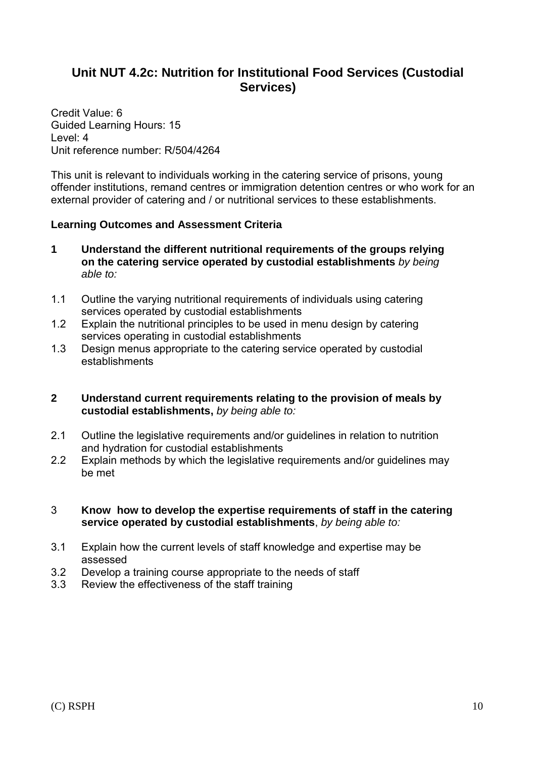## **Unit NUT 4.2c: Nutrition for Institutional Food Services (Custodial Services)**

Credit Value: 6 Guided Learning Hours: 15 Level: 4 Unit reference number: R/504/4264

This unit is relevant to individuals working in the catering service of prisons, young offender institutions, remand centres or immigration detention centres or who work for an external provider of catering and / or nutritional services to these establishments.

#### **Learning Outcomes and Assessment Criteria**

- **1 Understand the different nutritional requirements of the groups relying on the catering service operated by custodial establishments** *by being able to:*
- 1.1 Outline the varying nutritional requirements of individuals using catering services operated by custodial establishments
- 1.2 Explain the nutritional principles to be used in menu design by catering services operating in custodial establishments
- 1.3 Design menus appropriate to the catering service operated by custodial establishments
- **2 Understand current requirements relating to the provision of meals by custodial establishments,** *by being able to:*
- 2.1 Outline the legislative requirements and/or guidelines in relation to nutrition and hydration for custodial establishments
- 2.2 Explain methods by which the legislative requirements and/or guidelines may be met

#### 3 **Know how to develop the expertise requirements of staff in the catering service operated by custodial establishments**, *by being able to:*

- 3.1 Explain how the current levels of staff knowledge and expertise may be assessed
- 3.2 Develop a training course appropriate to the needs of staff
- 3.3 Review the effectiveness of the staff training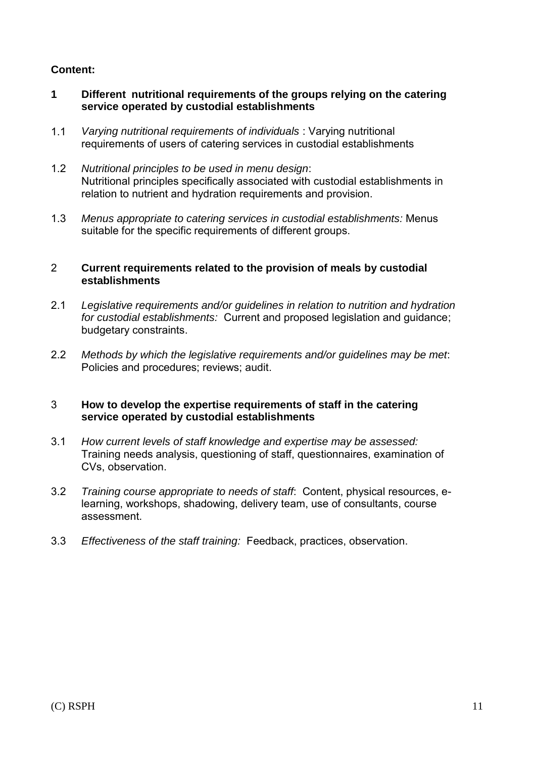- **1 Different nutritional requirements of the groups relying on the catering service operated by custodial establishments**
- 1.1 *Varying nutritional requirements of individuals* : Varying nutritional requirements of users of catering services in custodial establishments
- 1.2 *Nutritional principles to be used in menu design*: Nutritional principles specifically associated with custodial establishments in relation to nutrient and hydration requirements and provision.
- 1.3 *Menus appropriate to catering services in custodial establishments:* Menus suitable for the specific requirements of different groups.

#### 2 **Current requirements related to the provision of meals by custodial establishments**

- 2.1 *Legislative requirements and/or guidelines in relation to nutrition and hydration for custodial establishments:* Current and proposed legislation and guidance; budgetary constraints.
- 2.2 *Methods by which the legislative requirements and/or guidelines may be met*: Policies and procedures; reviews; audit.

#### 3 **How to develop the expertise requirements of staff in the catering service operated by custodial establishments**

- 3.1 *How current levels of staff knowledge and expertise may be assessed:*  Training needs analysis, questioning of staff, questionnaires, examination of CVs, observation.
- 3.2 *Training course appropriate to needs of staff*: Content, physical resources, elearning, workshops, shadowing, delivery team, use of consultants, course assessment.
- 3.3 *Effectiveness of the staff training:* Feedback, practices, observation.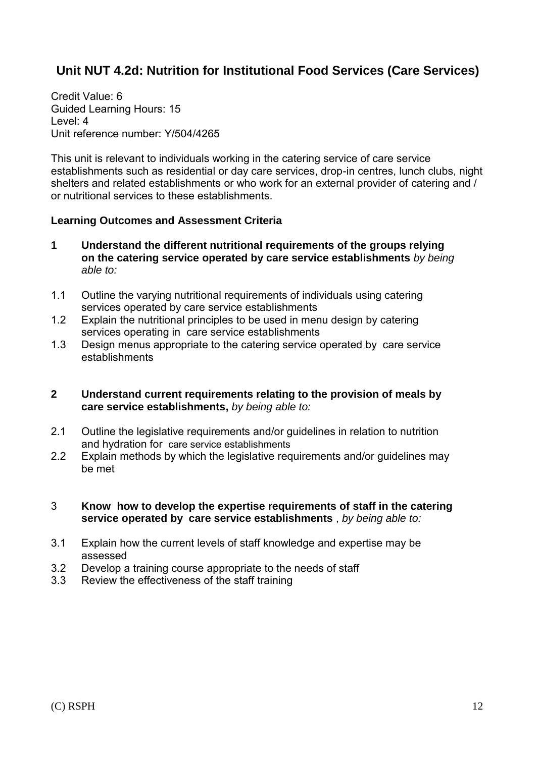# **Unit NUT 4.2d: Nutrition for Institutional Food Services (Care Services)**

Credit Value: 6 Guided Learning Hours: 15 Level: 4 Unit reference number: Y/504/4265

This unit is relevant to individuals working in the catering service of care service establishments such as residential or day care services, drop-in centres, lunch clubs, night shelters and related establishments or who work for an external provider of catering and / or nutritional services to these establishments.

#### **Learning Outcomes and Assessment Criteria**

- **1 Understand the different nutritional requirements of the groups relying on the catering service operated by care service establishments** *by being able to:*
- 1.1 Outline the varying nutritional requirements of individuals using catering services operated by care service establishments
- 1.2 Explain the nutritional principles to be used in menu design by catering services operating in care service establishments
- 1.3 Design menus appropriate to the catering service operated by care service establishments
- **2 Understand current requirements relating to the provision of meals by care service establishments,** *by being able to:*
- 2.1 Outline the legislative requirements and/or guidelines in relation to nutrition and hydration for care service establishments
- 2.2 Explain methods by which the legislative requirements and/or guidelines may be met
- 3 **Know how to develop the expertise requirements of staff in the catering service operated by care service establishments** , *by being able to:*
- 3.1 Explain how the current levels of staff knowledge and expertise may be assessed
- 3.2 Develop a training course appropriate to the needs of staff
- 3.3 Review the effectiveness of the staff training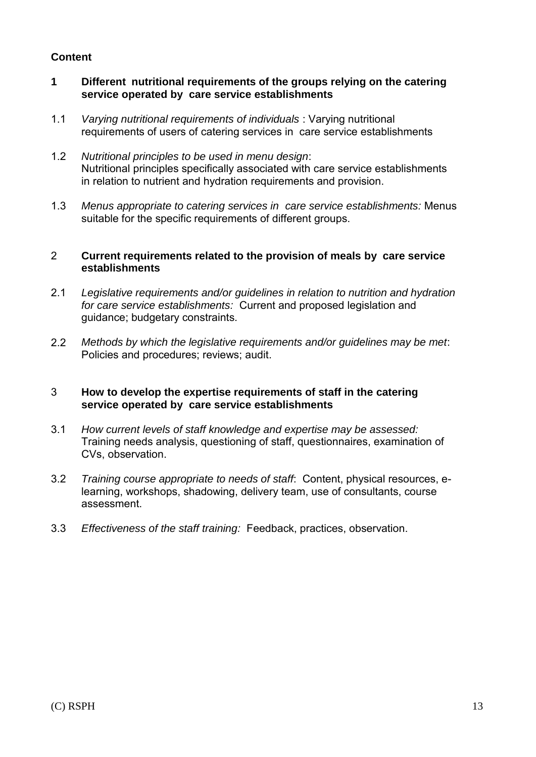#### **1 Different nutritional requirements of the groups relying on the catering service operated by care service establishments**

- 1.1 *Varying nutritional requirements of individuals* : Varying nutritional requirements of users of catering services in care service establishments
- 1.2 *Nutritional principles to be used in menu design*: Nutritional principles specifically associated with care service establishments in relation to nutrient and hydration requirements and provision.
- 1.3 *Menus appropriate to catering services in care service establishments:* Menus suitable for the specific requirements of different groups.

#### 2 **Current requirements related to the provision of meals by care service establishments**

- 2.1 *Legislative requirements and/or guidelines in relation to nutrition and hydration for care service establishments:* Current and proposed legislation and guidance; budgetary constraints.
- 2.2 *Methods by which the legislative requirements and/or guidelines may be met*: Policies and procedures; reviews; audit.

#### 3 **How to develop the expertise requirements of staff in the catering service operated by care service establishments**

- 3.1 *How current levels of staff knowledge and expertise may be assessed:*  Training needs analysis, questioning of staff, questionnaires, examination of CVs, observation.
- 3.2 *Training course appropriate to needs of staff*: Content, physical resources, elearning, workshops, shadowing, delivery team, use of consultants, course assessment.
- 3.3 *Effectiveness of the staff training:* Feedback, practices, observation.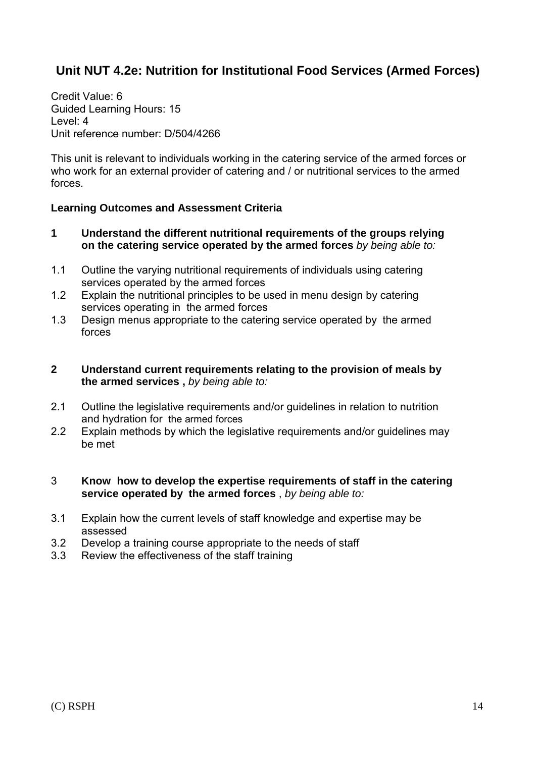# **Unit NUT 4.2e: Nutrition for Institutional Food Services (Armed Forces)**

Credit Value: 6 Guided Learning Hours: 15 Level: 4 Unit reference number: D/504/4266

This unit is relevant to individuals working in the catering service of the armed forces or who work for an external provider of catering and / or nutritional services to the armed forces.

#### **Learning Outcomes and Assessment Criteria**

- **1 Understand the different nutritional requirements of the groups relying on the catering service operated by the armed forces** *by being able to:*
- 1.1 Outline the varying nutritional requirements of individuals using catering services operated by the armed forces
- 1.2 Explain the nutritional principles to be used in menu design by catering services operating in the armed forces
- 1.3 Design menus appropriate to the catering service operated by the armed forces

#### **2 Understand current requirements relating to the provision of meals by the armed services ,** *by being able to:*

- 2.1 Outline the legislative requirements and/or guidelines in relation to nutrition and hydration for the armed forces
- 2.2 Explain methods by which the legislative requirements and/or guidelines may be met

#### 3 **Know how to develop the expertise requirements of staff in the catering service operated by the armed forces** , *by being able to:*

- 3.1 Explain how the current levels of staff knowledge and expertise may be assessed
- 3.2 Develop a training course appropriate to the needs of staff
- 3.3 Review the effectiveness of the staff training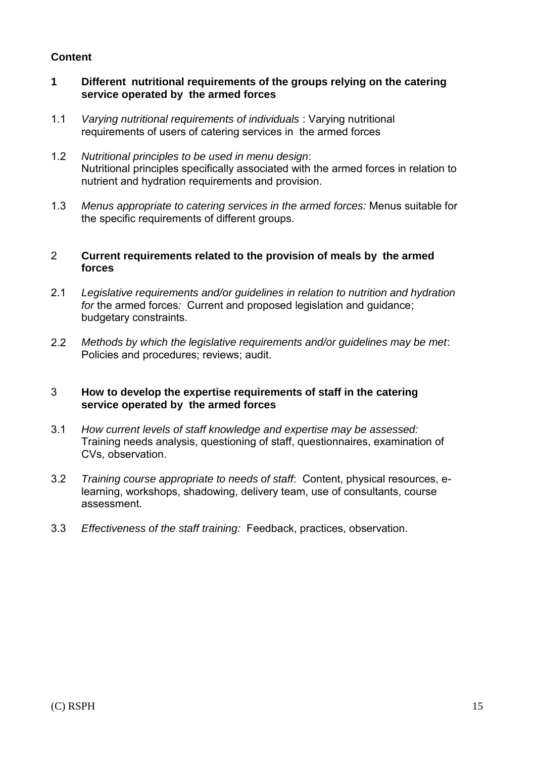#### **1 Different nutritional requirements of the groups relying on the catering service operated by the armed forces**

- 1.1 *Varying nutritional requirements of individuals* : Varying nutritional requirements of users of catering services in the armed forces
- 1.2 *Nutritional principles to be used in menu design*: Nutritional principles specifically associated with the armed forces in relation to nutrient and hydration requirements and provision.
- 1.3 *Menus appropriate to catering services in the armed forces:* Menus suitable for the specific requirements of different groups.

#### 2 **Current requirements related to the provision of meals by the armed forces**

- 2.1 *Legislative requirements and/or guidelines in relation to nutrition and hydration for* the armed forces*:* Current and proposed legislation and guidance; budgetary constraints.
- 2.2 *Methods by which the legislative requirements and/or guidelines may be met*: Policies and procedures; reviews; audit.

#### 3 **How to develop the expertise requirements of staff in the catering service operated by the armed forces**

- 3.1 *How current levels of staff knowledge and expertise may be assessed:*  Training needs analysis, questioning of staff, questionnaires, examination of CVs, observation.
- 3.2 *Training course appropriate to needs of staff*: Content, physical resources, elearning, workshops, shadowing, delivery team, use of consultants, course assessment.
- 3.3 *Effectiveness of the staff training:* Feedback, practices, observation.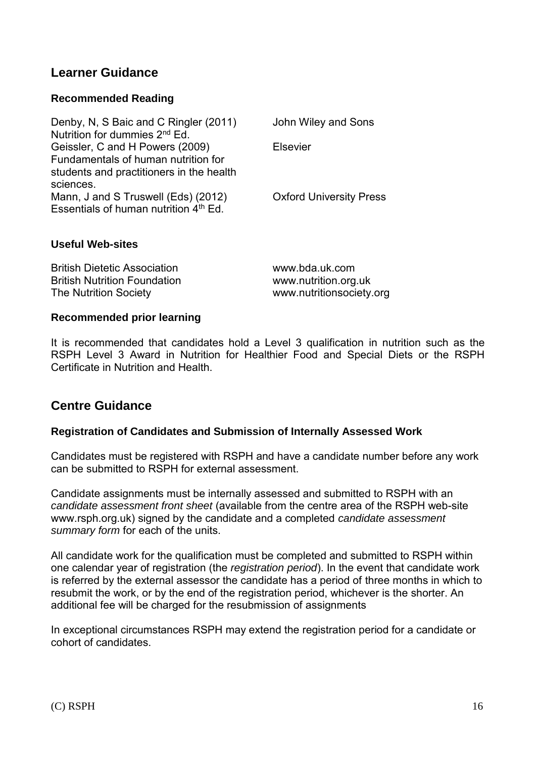### **Learner Guidance**

#### **Recommended Reading**

| Denby, N, S Baic and C Ringler (2011)<br>Nutrition for dummies 2 <sup>nd</sup> Ed.                                 | John Wiley and Sons            |
|--------------------------------------------------------------------------------------------------------------------|--------------------------------|
| Geissler, C and H Powers (2009)<br>Fundamentals of human nutrition for<br>students and practitioners in the health | <b>Elsevier</b>                |
| sciences.<br>Mann, J and S Truswell (Eds) (2012)<br>Essentials of human nutrition 4 <sup>th</sup> Ed.              | <b>Oxford University Press</b> |

#### **Useful Web-sites**

| <b>British Dietetic Association</b> | www.bda.uk.com           |
|-------------------------------------|--------------------------|
| <b>British Nutrition Foundation</b> | www.nutrition.org.uk     |
| The Nutrition Society               | www.nutritionsociety.org |

#### **Recommended prior learning**

It is recommended that candidates hold a Level 3 qualification in nutrition such as the RSPH Level 3 Award in Nutrition for Healthier Food and Special Diets or the RSPH Certificate in Nutrition and Health.

### **Centre Guidance**

#### **Registration of Candidates and Submission of Internally Assessed Work**

Candidates must be registered with RSPH and have a candidate number before any work can be submitted to RSPH for external assessment.

Candidate assignments must be internally assessed and submitted to RSPH with an *candidate assessment front sheet* (available from the centre area of the RSPH web-site www.rsph.org.uk) signed by the candidate and a completed *candidate assessment summary form* for each of the units.

All candidate work for the qualification must be completed and submitted to RSPH within one calendar year of registration (the *registration period*). In the event that candidate work is referred by the external assessor the candidate has a period of three months in which to resubmit the work, or by the end of the registration period, whichever is the shorter. An additional fee will be charged for the resubmission of assignments

In exceptional circumstances RSPH may extend the registration period for a candidate or cohort of candidates.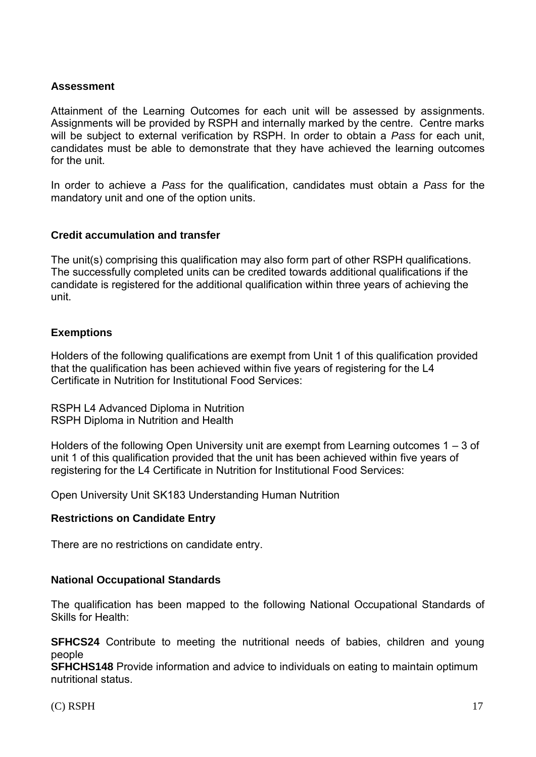#### **Assessment**

Attainment of the Learning Outcomes for each unit will be assessed by assignments. Assignments will be provided by RSPH and internally marked by the centre. Centre marks will be subject to external verification by RSPH. In order to obtain a *Pass* for each unit, candidates must be able to demonstrate that they have achieved the learning outcomes for the unit.

In order to achieve a *Pass* for the qualification, candidates must obtain a *Pass* for the mandatory unit and one of the option units.

#### **Credit accumulation and transfer**

The unit(s) comprising this qualification may also form part of other RSPH qualifications. The successfully completed units can be credited towards additional qualifications if the candidate is registered for the additional qualification within three years of achieving the unit.

#### **Exemptions**

Holders of the following qualifications are exempt from Unit 1 of this qualification provided that the qualification has been achieved within five years of registering for the L4 Certificate in Nutrition for Institutional Food Services:

RSPH L4 Advanced Diploma in Nutrition RSPH Diploma in Nutrition and Health

Holders of the following Open University unit are exempt from Learning outcomes 1 – 3 of unit 1 of this qualification provided that the unit has been achieved within five years of registering for the L4 Certificate in Nutrition for Institutional Food Services:

Open University Unit SK183 Understanding Human Nutrition

#### **Restrictions on Candidate Entry**

There are no restrictions on candidate entry.

#### **National Occupational Standards**

The qualification has been mapped to the following National Occupational Standards of Skills for Health:

**SFHCS24** Contribute to meeting the nutritional needs of babies, children and young people

**SFHCHS148** Provide information and advice to individuals on eating to maintain optimum nutritional status.